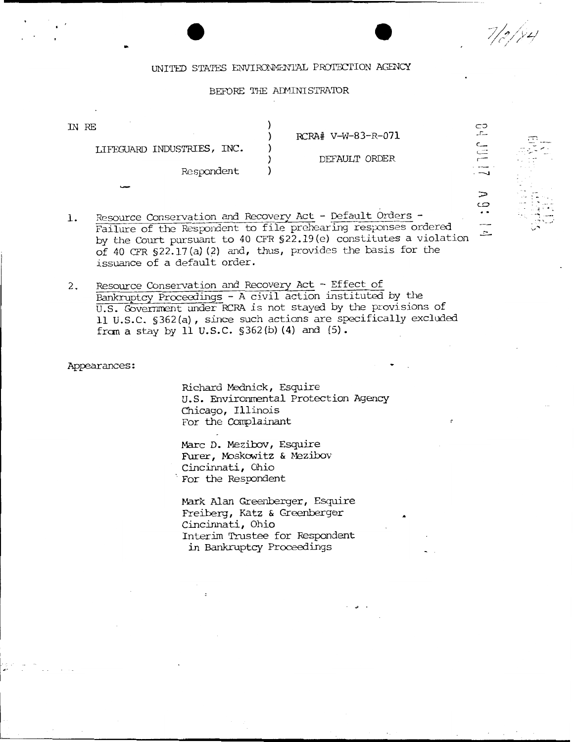$7/2$ /  $/4$ 

 $\overline{\phantom{0}}$ 

 $\Rightarrow$  $\overline{c}$  $\ddot{\phantom{1}}$  . ---- $\approx$   $\mathbb{R}^{n\times n}$  .

<sup>~</sup>' . . -~ - :\_-, .. \_\_\_ .·

### UNITED STATES ENVIRONMENTAL PROTECTION AGENCY

### BEFORE THE ADMINISTRATOR

| IN RE                      |  |
|----------------------------|--|
|                            |  |
| LIFEGUARD INDUSTRIES, INC. |  |
|                            |  |
| Respondent                 |  |
|                            |  |

RCRA# V-W-83-R-071

#### DEFAULT ORDER

- 1. Resource Conservation and Recovery Act - Default Orders -Failure of the Respondent to file prehearing responses ordered by the Court pursuant to 40 CFR §22.19(e) constitutes a violation of 40 CFR §22.17(a) (2) and, thus, provides the basis for the issuance of a default order.
- 2. Resource Conservation and Recovery Act Effect of Bankruptcy Proceedings - A civil action instituted by the U.S. Government under RCRA is not stayed by the provisions of 11 U.S.C. §362(a), since such actions are specifically excluded from a stay by 11 U.S.C.  $$362(b) (4)$  and  $(5)$ .

Appearances:

Richard Mednick, Esquire U.S. Environmental Protection Agency Chicago, Illinois For the Complainant

Marc D. Mezibov, Esquire Furer, Moskowitz & Mezibov<br>Cincinnati, Ohio For the Respondent

Mark Alan Greenberger, Esquire Freiberg, Katz & Greenberger Cincinnati, Ohio Interim Trustee for Respondent in Bankruptcy Proceedings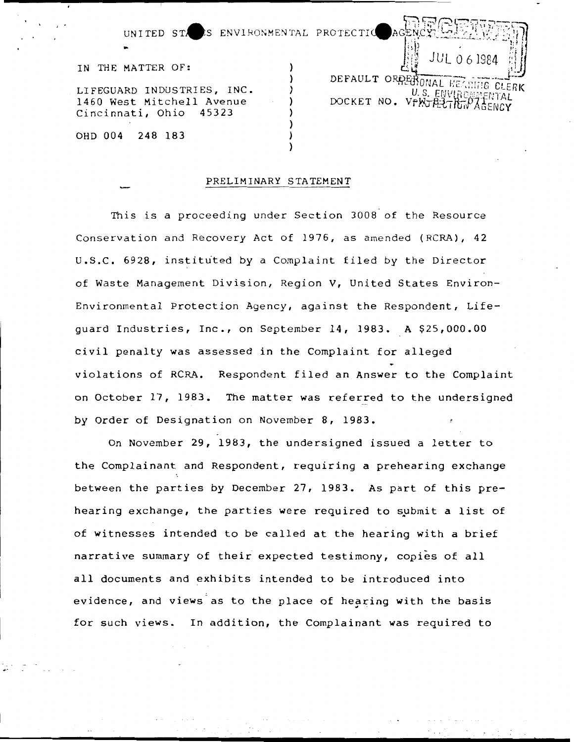UNITED STARS ENVIRONMENTAL PROTECTIO

IN THE MATTER OF:

..

LIFEGUARD INDUSTRIES, INC. 1460 West Mitchell Avenue<br>Cincinnati, Ohio 45323 Cincinnati, Ohio

OHD 004 248 183 )

JL 0 6 1984 DEFAULT ORDER ONAL HE GSBIG CLERK U.S. ENVIRO ENTAL DOCKET NO. VFWJA37R

### PRELIMINARY STATEMENT

)

)

)

This is a proceeding under Section 3008 of the Resource Conservation and Recovery Act of 1976, as amended (RCRA), 42  $U.S.C. 6928$ , instituted by a Complaint filed by the Director of Waste Management Division, Region V, United States Environ-Environmental Protection Agency, against the Respondent, Lifeguard Industries, Inc., on September 14, 1983. A \$25,000.00 civil penalty was assessed in the Complaint for alleged violations of RCRA. Respondent filed an Answer to the Complaint on October 17, 1983. The matter was referred to the undersigned by Order of Designation on November 8, 1983.

On November 29, 1983, the undersigned issued a letter to the Complainant and Respondent, requiring a prehearing exchange between the parties by December 27, 1983. As part of this prehearing exchange, the parties were required to submit a list of of witnesses intended to be called at the hearing with a brief narrative summary of their expected testimony, copies of all all documents and exhibits intended to be introduced into evidence, and views as to the place of hearing with the basis for such views. In addition, the Complainant was required to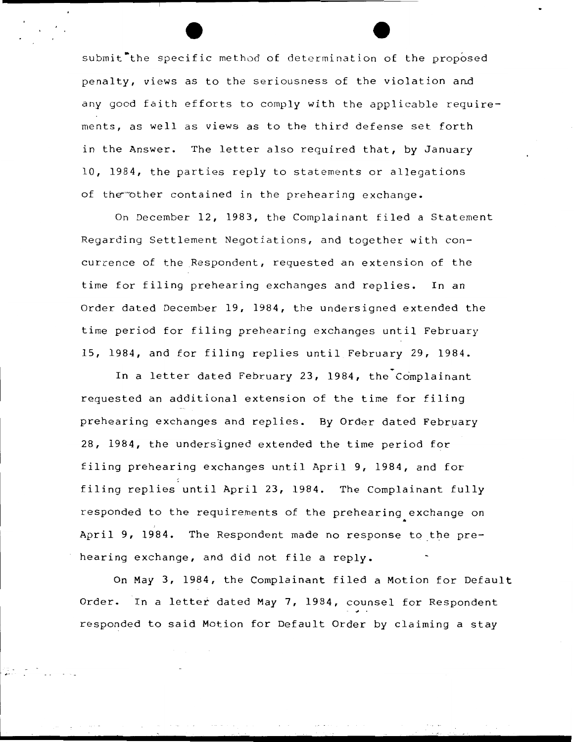submit<sup>t</sup> the specific method of determination of the proposed penalty, views as to the seriousness of the violation and any good faith efforts to comply with the applicable requirements, as well as views as to the third defense set forth in the Answer. The letter also required that, by January 10, 1984, the parties reply to statements or allegations of the other contained in the prehearing exchange.

On December 12, 1983, the Complainant filed a Statement Regarding Settlement Negotiations, and together with concurrence of the Respondent, requested an extension of the time for filing prehearing exchanges and replies. In an Order dated December 19, 1984, the undersigned extended the time period for filing prehearing exchanges until February 15, 1984, and for filing replies until February 29, 1984.

In a letter dated February 23, 1984, the Complainant requested an additional extension of the time for filing prehearing exchanges and replies. By Order dated February 28, 1984, the undersigned extended the time period for filing prehearing exchanges until April 9, 1984, and for filing replies until April 23, 1984. The Complainant fully responded to the requirements of the prehearing exchange on .<br>April 9, 1984. The Respondent made no response to the prehearing exchange, and did not file a reply.

On May 3, 1984, the Complainant filed a Motion for Default Order. In a letter dated May 7, 1984, counsel for Respondent responded to said Motion for Default Order by claiming a stay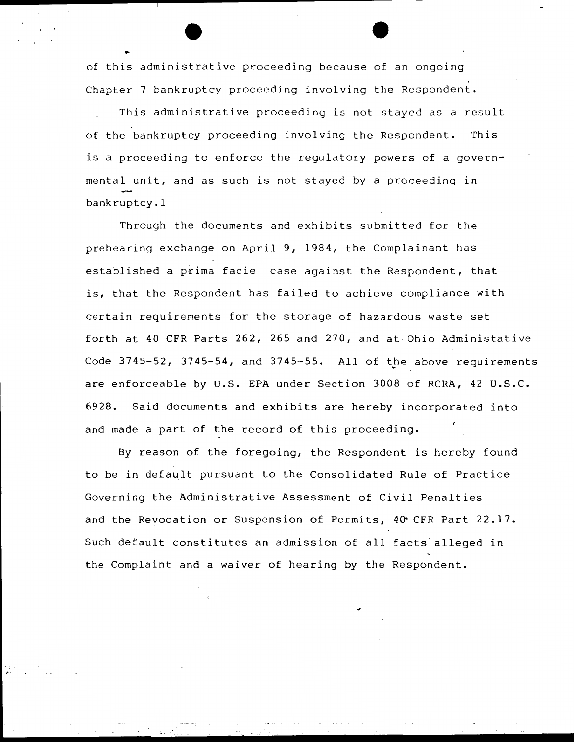of this administrative procee ding be cause of an ongoing Chapter 7 bankruptcy proceeding involving the Respondent.

..

This administrative proceeding is not stayed as a result of the bankruptcy proceeding involving the Respondent. This is a proceeding to enforce the requlatory powers of a governmental unit, and as such is not stayed by a proceeding in bankruptcy.!

Through the documents and exhibits submitted for the prehearing exchange on April 9, 1984, the Complainant has established a prima facie case against the Respondent, that is, that the Respondent has failed to achieve compliance with certain requirements for the storage of hazardous waste set forth at 40 CFR Parts 262, 265 and 270, and at Ohio Administative Code  $3745-52$ ,  $3745-54$ , and  $3745-55$ . All of the above requirements are enforceable by U.S. EPA under Section 3008 of RCRA, 42 U.S.C. 6928. Said documents and exhibits are hereby incorporated into and made a part of the record of this proceeding.

By reason of the foregoing, the Respondent is hereby found to be in default pursuant to the Consolidated Rule of Practice Governing the Administrative Assessment of Civil Penalties and the Revocation or Suspension of Permits,  $40^{\circ}$  CFR Part 22.17. Such default constitutes an admission of all facts alleged in the Complaint and a waiver of hearing by the Respondent.

. .. *:* 

 $\bullet$  .

 $\mathbb{R}^+$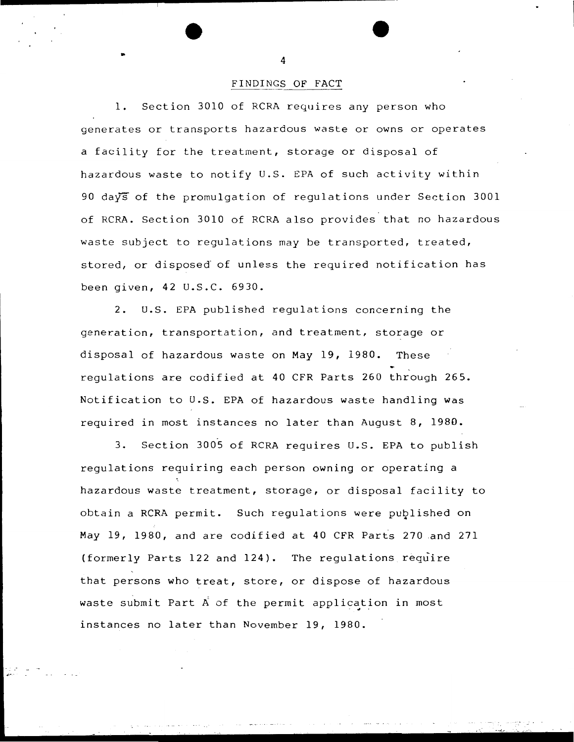# FINDINGS OF FACT

1. Section 3010 of RCRA requires any person who generates or transports hazardous waste or owns or operates a facility for the treatment, storage or disposal of hazardous waste to notify U.S. EPA of such activity within 90 days of the promulgation of regulations under Section 3001 of RCRA. Section 3010 of RCRA also provides that no hazardous waste subject to regulations may be transported, treated, stored, or disposed of unless the required notification has been given, 42 U.S.C. 6930.

2. U.S. EPA published requlations concerning the generation, transportation, and treatment, storage or disposal of hazardous waste on May 19, 1980. These regulations are codified at 40 CFR Parts 260 through 265. Notification to U.S. EPA of hazardous waste handling was required in most instances no later than August 8, 1980.

3. Section 3005 of RCRA requires U.S. EPA to publish regulations requiring each person owning or operating a hazardous waste treatment, storage, or disposal facility to obtain a RCRA permit. Such regulations were published on May 19, 1980, and are codified at 40 CFR Parts 270 .and 271 (formerly Parts 122 and 124). The regulations require that persons who treat, store, or dispose of hazardous waste submit Part  $A$  of the permit application in most instances no later than November 19, 1980.

. -...~,. ,. . -. · .... -~ · ..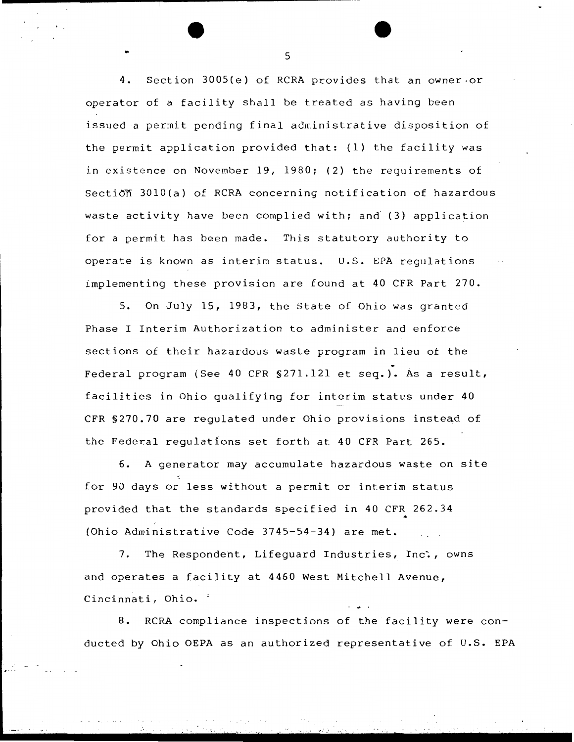4. Section 3005(e) of RCRA provides that an owner-or operator of a facility shall be treated as having been issued a permit pending final administrative disposition of the permit application provided that: (1) the facility was in existence on November 19, 1980; (2) the requirements of Secti $\delta$  3010(a) of RCRA concerning notification of hazardous waste activity have been complied with; and (3) application for a permit has been made. This statutory authority to operate is known as interim status. U.S. EPA regulations implementing these provision are found at 40 CFR Part 270.

5. On July 15, 1983, the State of Ohio was granted Phase I Interim Authorization to administer and enforce sections of their hazardous waste program in lieu of the . Federal program (See 40 CFR §271.121 et seq.). As a result, facilities in Ohio qualifying for interim status under 40 CFR §270.70 are regulated under Ohio provisions instead of the Federal regulations set forth at 40 CFR Part 265.

6. A generator may accumulate hazardous waste on site for 90 days or less without a permit or interim status provided that the standards specified in 40 CFR 262.34 (Ohio Administrative Code 3745-54-34) are met.

7. The Respondent, Lifeguard Industries, Inc., owns and operates a facility at 4460 West Mitchell Avenue, Cincinnati, Ohio. '

8. RCRA compliance inspections of the facility were conducted by Ohio OEPA as an authorized representative of U.S. EPA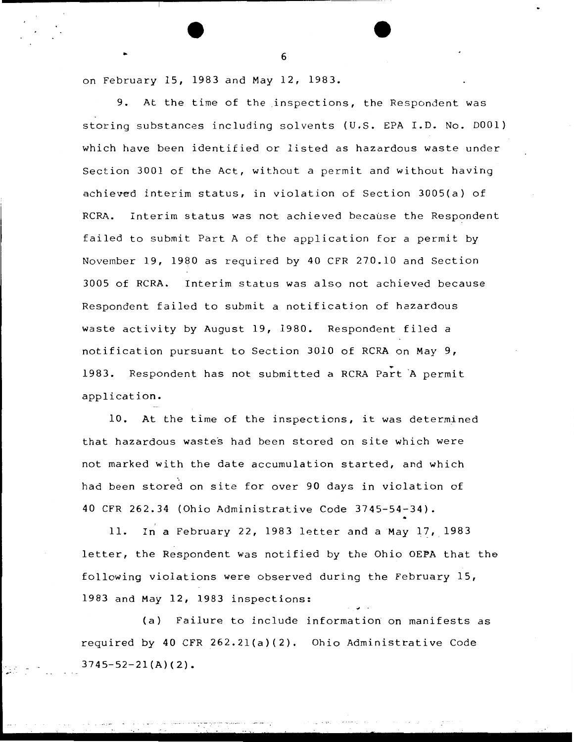on February 15, 1983 and May 12, 1983.

9. At the time of the inspections, the Respondent was storing substances including solvents (U.S. EPA I.D. No. DOOl) which have been identified or listed as hazardous waste under Section 3001 of the Act, without a permit and without having achieved interim status, in violation of Section 3005(a) of RCRA. Interim status was not achieved because the Respondent failed to submit Part A of the application for a permit by November 19, 1980 as required by 40 CFR 270.10 and Section 3005 of RCRA. Interim status was also not achieved because Respondent failed to submit a notification of hazardous waste activity by August 19, 1980. Respondent filed a notification pursuant to Section 3010 of RCRA on May 9, 1983. Respondent has not submitted a RCRA Part A permit application.

10. At the time of the inspections, it was determined that hazardous wastes had been stored on site which were not marked with the date accumulation started, and which had been stored on site for over 90 days in violation of 40 CFR 262.34 (Ohio Administrative Code 3745-54-34).

11. In a February 22, 1983 letter and a May 17, 1983 letter, the Respondent was notified by the Ohio OEPA that the following violations were observed during the February 15, 1983 and May 12, 1983 inspections:

(a) Failure to include information on manifests as required by 40 CFR 262.2l(a)(2). Ohio Administrative Code  $3745 - 52 - 21(A)(2)$ .

 $\bullet$  6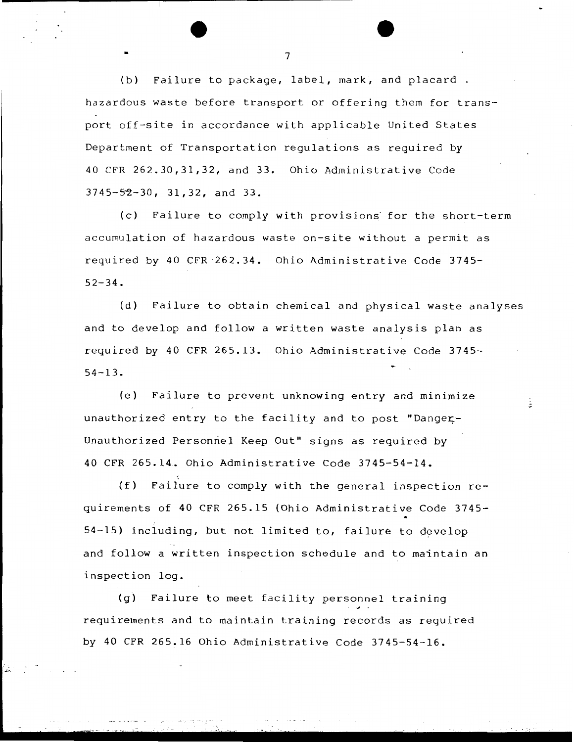(b) Failure to package, label, mark, and placard . hazardous waste before transport or offering them for transport off-site in accordance with applicable United States Department of Transportation regulations as required by 40 CFR 262.30,31,32, and 33. Ohio Administrative Code 3745-52-30, 31, 32, and 33.

(c) Failure to comply with provisions· for the short-term accumulation of hazardous waste on-site without a permit as required by 40 CFR 262.34. Ohio Administrative Code 3745- $52 - 34.$ 

(d) Failure to obtain chemical and physical waste analyses and to develop and follow a written waste analysis plan as required by 40 CFR 265.13. Ohio Administrative Code 3745- 54-13.

ŝ,

(e) Failure to prevent unknowing entry and minimize unauthorized entry to the facility and to post "Danger-Unauthorized Personnel Keep Out" signs as required by 40 CFR 265.14. Ohio Administrative Code 3745-54-14.

(f) Failure to comply with the general inspection requirements of 40 CFR 265.15 (Ohio Administrative Code 3745-  $54-15$ ) including, but not limited to, failure to develop and follow a written inspection schedule and to maintain an inspection log.

(g) Failure to meet facility personnel training requirements and to maintain training records as required by 40 CFR 265.16 Ohio Administrative Code 3745-54-16 •

.,.,.\_.

 $\sim$  7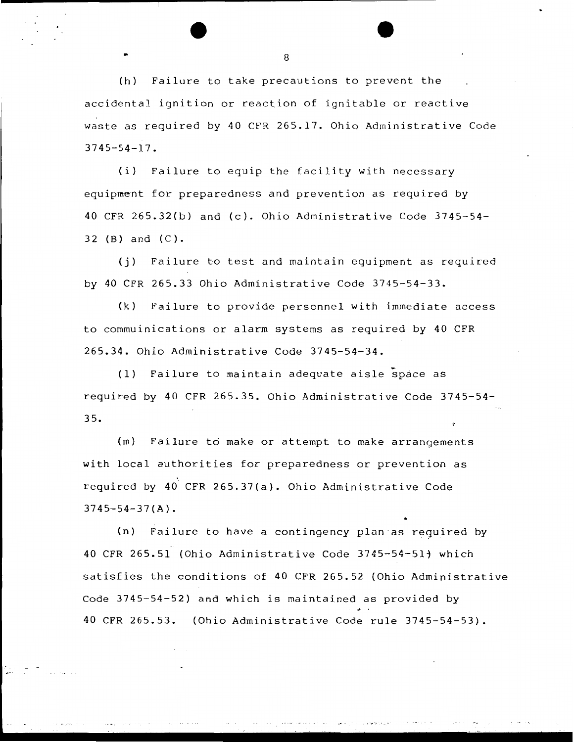(h) Failure to take precautions to prevent the accidental ignition or reaction of ignitable or reactive waste as required by 40 CFR 265.17. Ohio Administrative Code 3745-54-17.

(i) Failure to equip the facility with necessary equipment for preparedness and prevention as required by 40 CFR 265.32(b) and (c). Ohio Administrative Code 3745-54- 32 (B) and (C).

(j) Failure to test and maintain equipment as required by 40 CFR 265.33 Ohio Administrative Code 3745-54-33.

(k) Failure to provide personnel with immediate access to commuinications or alarm systems as required by 40 CFR 265.34. Ohio Administrative Code 3745-54-34.

(1) Failure to maintain adequate aisle - space as required by 40 CFR 265.35. Ohio Administrative Code 3745-54- 3 5.

(m) Failure to make or attempt to make arrangements with local authorities for preparedness or prevention as required by 40 CFR 265.37(a). Ohio Administrative Code  $3745 - 54 - 37($ A).

(n) Failure to have a contingency plan as reguired by 40 CFR 265.51 (Ohio Administrative Code 3745-54-511 which satisfies the conditions of 40 CFR 265.52 (Ohio Administrative Code 3745-54-52) and which is maintained as provided by <sup>~</sup>. 40 CFR 265.53. (Ohio Administrative Code rule 3745-54-53).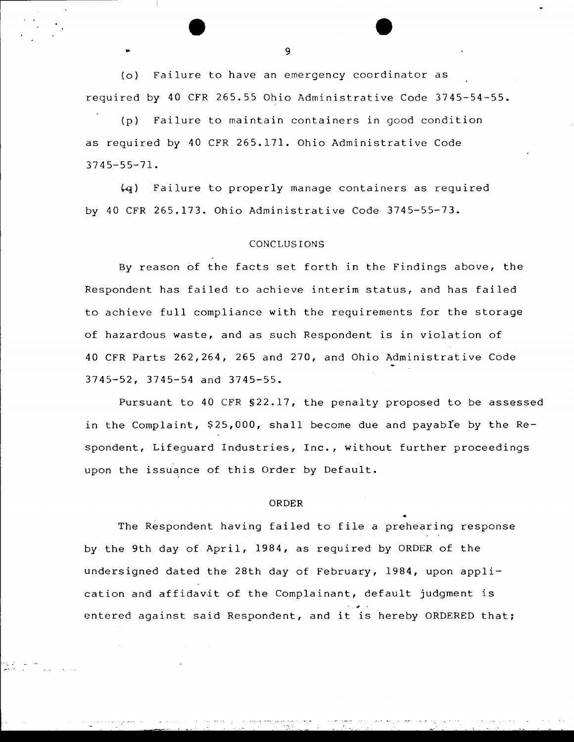(o) Failure to have an emergency coordinator as required by 40 CFR 265.55 Ohio Administrative Code 3745-54-55.

(p) Failure to maintain containers in good condition as required by 40 CFR 265.171. Ohio Administrative Code 3745-55-71.

 $~(4)$  Failure to properly manage containers as required by 40 CFR 265.173. Ohio Administrative Code 3745-55-73.

# CONCLUSIONS

By reason of the facts set forth in the Findings above, the Respondent has failed to achieve interim status, and has failed to achieve full compliance with the requirements for the storage of hazardous waste, and as such Respondent is in violation of 40 CFR Parts 262,264, 265 and 270, and Ohio Administrative Code 3745-52, 3745-54 and 3745-55.

Pursuant to 40 CFR §22.17, the penalty proposed to be assessed in the Complaint,  $$25,000$ , shall become due and payable by the Respondent, Lifeguard Industries, Inc., without further proceedings upon the issuance of this Order by Default.

# ORDER

The Respondent having failed to file a prehearing response by the 9th day of April, 1984, as required by ORDER of the undersigned dated the 28th day of February, 1984, upon application and affidavit of the Complainant, default judgment is entered against said Respondent, and it is hereby ORDERED that;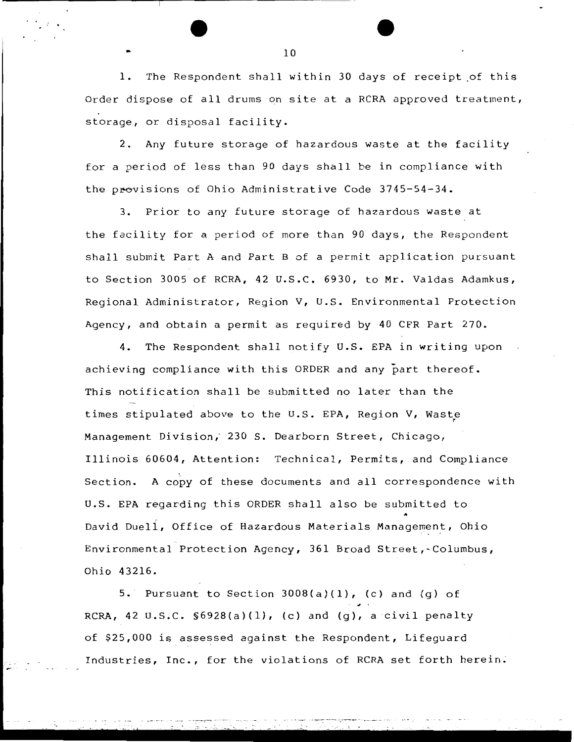l. The Respondent shall within 30 days of receipt .of this Order dispose of all drums on site at a RCRA approved treatment, storage, or disposal facility.

2. Any future storage of hazardous waste at the facility for a period of less than 90 days shall be in compliance with the provisions of Ohio Administrative Code 3745-54-34.

3. Prior to any future storage of hazardous waste at the facility for a period of more than 90 days, the Respondent shall submit Part A and Part B of a permit application pursuant to Section 3005 of RCRA, 42 U.S.C. 6930, to Mr. Valdas Adamkus, Regional Administrator, Region V, U.S. Environmental Protection Agency, and obtain a permit as required by 40 CFR Part 270.

4. The Respondent shall notify U.S. EPA in writing upon achieving compliance with this ORDER and any part thereof. This notification shall be submitted no later than the times stipulated above to the U.S. EPA, Region V, Waste Management Division; 230 S. Dearborn Street, Chicago, Illinois 60604, Attention: Technical, Permits, and Compliance Section. A copy of these documents and all correspondence with U.S. EPA regarding this ORDER shall also be submitted to<br>David Duell, Office of Hazardous Materials Management, Ohio Environmental Protection Agency, 361 Broad Street,~Columbus, Ohio 43216.

5. Pursuant to Section  $3008(a)(1)$ , (c) and (g) of RCRA, 42 U.S.C. §6928(a)(l}, (c) and (g), a civil penalty of \$25,000 is assessed against the Respondent, Lifeguard Industries, Inc., for the violations of RCRA set forth herein.

-., .. .